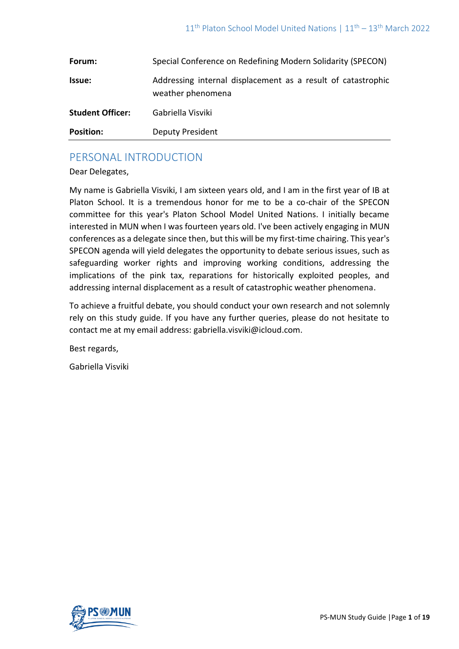| Forum:                  | Special Conference on Redefining Modern Solidarity (SPECON)                       |
|-------------------------|-----------------------------------------------------------------------------------|
| Issue:                  | Addressing internal displacement as a result of catastrophic<br>weather phenomena |
| <b>Student Officer:</b> | Gabriella Visviki                                                                 |
| <b>Position:</b>        | <b>Deputy President</b>                                                           |

# PERSONAL INTRODUCTION

Dear Delegates,

My name is Gabriella Visviki, I am sixteen years old, and I am in the first year of IB at Platon School. It is a tremendous honor for me to be a co-chair of the SPECON committee for this year's Platon School Model United Nations. I initially became interested in MUN when I was fourteen years old. I've been actively engaging in MUN conferences as a delegate since then, but this will be my first-time chairing. This year's SPECON agenda will yield delegates the opportunity to debate serious issues, such as safeguarding worker rights and improving working conditions, addressing the implications of the pink tax, reparations for historically exploited peoples, and addressing internal displacement as a result of catastrophic weather phenomena.

To achieve a fruitful debate, you should conduct your own research and not solemnly rely on this study guide. If you have any further queries, please do not hesitate to contact me at my email address: [gabriella.visviki@icloud.com.](mailto:gabriella.visviki@icloud.com)

Best regards,

Gabriella Visviki

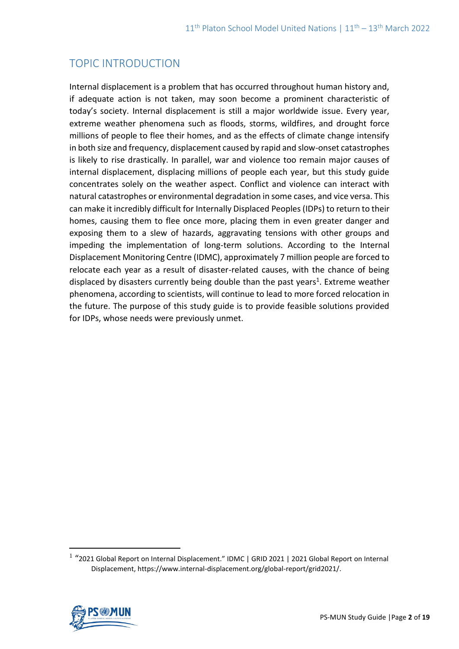# TOPIC INTRODUCTION

Internal displacement is a problem that has occurred throughout human history and, if adequate action is not taken, may soon become a prominent characteristic of today's society. Internal displacement is still a major worldwide issue. Every year, extreme weather phenomena such as floods, storms, wildfires, and drought force millions of people to flee their homes, and as the effects of climate change intensify in both size and frequency, displacement caused by rapid and slow-onset catastrophes is likely to rise drastically. In parallel, war and violence too remain major causes of internal displacement, displacing millions of people each year, but this study guide concentrates solely on the weather aspect. Conflict and violence can interact with natural catastrophes or environmental degradation in some cases, and vice versa. This can make it incredibly difficult for Internally Displaced Peoples (IDPs) to return to their homes, causing them to flee once more, placing them in even greater danger and exposing them to a slew of hazards, aggravating tensions with other groups and impeding the implementation of long-term solutions. According to the Internal Displacement Monitoring Centre (IDMC), approximately 7 million people are forced to relocate each year as a result of disaster-related causes, with the chance of being displaced by disasters currently being double than the past years<sup>1</sup>. Extreme weather phenomena, according to scientists, will continue to lead to more forced relocation in the future. The purpose of this study guide is to provide feasible solutions provided for IDPs, whose needs were previously unmet.

<sup>&</sup>lt;sup>1</sup> "2021 Global Report on Internal Displacement." IDMC | GRID 2021 | 2021 Global Report on Internal Displacement, https://www.internal-displacement.org/global-report/grid2021/.

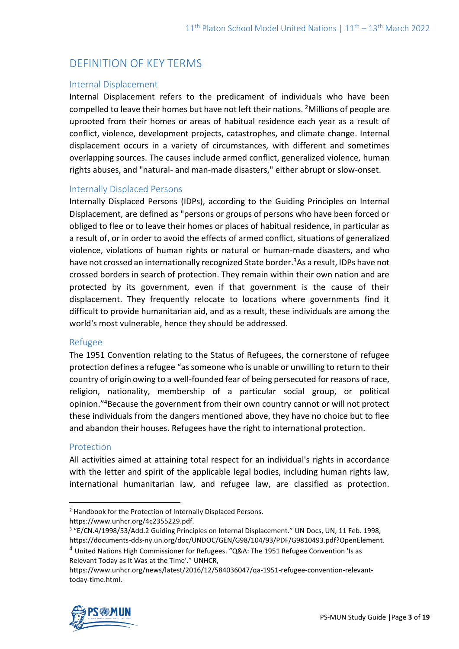# DEFINITION OF KEY TERMS

#### Internal Displacement

Internal Displacement refers to the predicament of individuals who have been compelled to leave their homes but have not left their nations. <sup>2</sup>Millions of people are uprooted from their homes or areas of habitual residence each year as a result of conflict, violence, development projects, catastrophes, and climate change. Internal displacement occurs in a variety of circumstances, with different and sometimes overlapping sources. The causes include armed conflict, generalized violence, human rights abuses, and "natural- and man-made disasters," either abrupt or slow-onset.

#### Internally Displaced Persons

Internally Displaced Persons (IDPs), according to the Guiding Principles on Internal Displacement, are defined as "persons or groups of persons who have been forced or obliged to flee or to leave their homes or places of habitual residence, in particular as a result of, or in order to avoid the effects of armed conflict, situations of generalized violence, violations of human rights or natural or human-made disasters, and who have not crossed an internationally recognized State border.<sup>3</sup>As a result, IDPs have not crossed borders in search of protection. They remain within their own nation and are protected by its government, even if that government is the cause of their displacement. They frequently relocate to locations where governments find it difficult to provide humanitarian aid, and as a result, these individuals are among the world's most vulnerable, hence they should be addressed.

#### Refugee

The 1951 Convention relating to the Status of Refugees, the cornerstone of refugee protection defines a refugee "as someone who is unable or unwilling to return to their country of origin owing to a well-founded fear of being persecuted for reasons of race, religion, nationality, membership of a particular social group, or political opinion." <sup>4</sup>Because the government from their own country cannot or will not protect these individuals from the dangers mentioned above, they have no choice but to flee and abandon their houses. Refugees have the right to international protection.

#### Protection

All activities aimed at attaining total respect for an individual's rights in accordance with the letter and spirit of the applicable legal bodies, including human rights law, international humanitarian law, and refugee law, are classified as protection.

https://www.unhcr.org/news/latest/2016/12/584036047/qa-1951-refugee-convention-relevanttoday-time.html.



<sup>2</sup> Handbook for the Protection of Internally Displaced Persons. https://www.unhcr.org/4c2355229.pdf.

<sup>&</sup>lt;sup>3</sup> "E/CN.4/1998/53/Add.2 Guiding Principles on Internal Displacement." UN Docs, UN, 11 Feb. 1998, https://documents-dds-ny.un.org/doc/UNDOC/GEN/G98/104/93/PDF/G9810493.pdf?OpenElement.

<sup>4</sup> United Nations High Commissioner for Refugees. "Q&A: The 1951 Refugee Convention 'Is as Relevant Today as It Was at the Time'." UNHCR,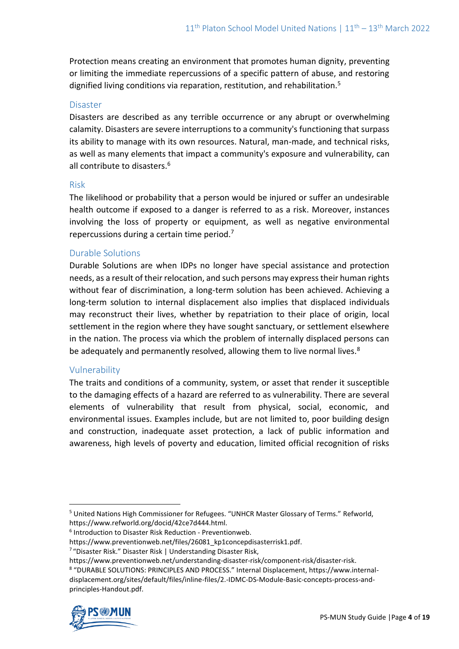Protection means creating an environment that promotes human dignity, preventing or limiting the immediate repercussions of a specific pattern of abuse, and restoring dignified living conditions via reparation, restitution, and rehabilitation.<sup>5</sup>

#### Disaster

Disasters are described as any terrible occurrence or any abrupt or overwhelming calamity. Disasters are severe interruptions to a community's functioning that surpass its ability to manage with its own resources. Natural, man-made, and technical risks, as well as many elements that impact a community's exposure and vulnerability, can all contribute to disasters.<sup>6</sup>

#### Risk

The likelihood or probability that a person would be injured or suffer an undesirable health outcome if exposed to a danger is referred to as a risk. Moreover, instances involving the loss of property or equipment, as well as negative environmental repercussions during a certain time period.<sup>7</sup>

#### Durable Solutions

Durable Solutions are when IDPs no longer have special assistance and protection needs, as a result of their relocation, and such persons may express their human rights without fear of discrimination, a long-term solution has been achieved. Achieving a long-term solution to internal displacement also implies that displaced individuals may reconstruct their lives, whether by repatriation to their place of origin, local settlement in the region where they have sought sanctuary, or settlement elsewhere in the nation. The process via which the problem of internally displaced persons can be adequately and permanently resolved, allowing them to live normal lives.<sup>8</sup>

#### Vulnerability

The traits and conditions of a community, system, or asset that render it susceptible to the damaging effects of a hazard are referred to as vulnerability. There are several elements of vulnerability that result from physical, social, economic, and environmental issues. Examples include, but are not limited to, poor building design and construction, inadequate asset protection, a lack of public information and awareness, high levels of poverty and education, limited official recognition of risks

<sup>8</sup> "DURABLE SOLUTIONS: PRINCIPLES AND PROCESS." Internal Displacement, https://www.internaldisplacement.org/sites/default/files/inline-files/2.-IDMC-DS-Module-Basic-concepts-process-andprinciples-Handout.pdf.



<sup>5</sup> United Nations High Commissioner for Refugees. "UNHCR Master Glossary of Terms." Refworld, https://www.refworld.org/docid/42ce7d444.html.

<sup>6</sup> Introduction to Disaster Risk Reduction - Preventionweb.

https://www.preventionweb.net/files/26081\_kp1concepdisasterrisk1.pdf.

<sup>7</sup> "Disaster Risk." Disaster Risk | Understanding Disaster Risk,

https://www.preventionweb.net/understanding-disaster-risk/component-risk/disaster-risk.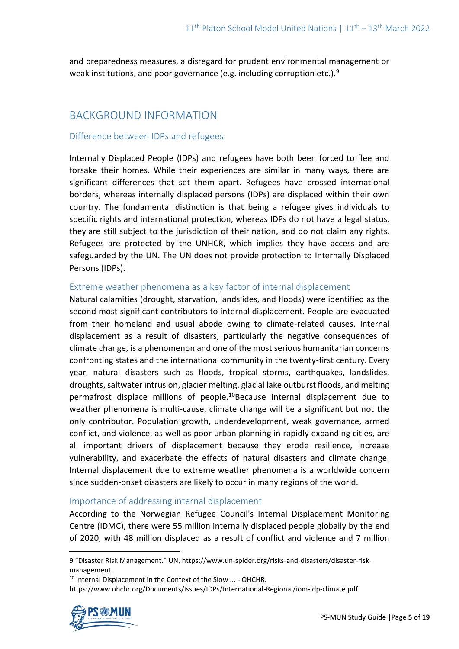and preparedness measures, a disregard for prudent environmental management or weak institutions, and poor governance (e.g. including corruption etc.).<sup>9</sup>

# BACKGROUND INFORMATION

## Difference between IDPs and refugees

Internally Displaced People (IDPs) and refugees have both been forced to flee and forsake their homes. While their experiences are similar in many ways, there are significant differences that set them apart. Refugees have crossed international borders, whereas internally displaced persons (IDPs) are displaced within their own country. The fundamental distinction is that being a refugee gives individuals to specific rights and international protection, whereas IDPs do not have a legal status, they are still subject to the jurisdiction of their nation, and do not claim any rights. Refugees are protected by the UNHCR, which implies they have access and are safeguarded by the UN. The UN does not provide protection to Internally Displaced Persons (IDPs).

#### Extreme weather phenomena as a key factor of internal displacement

Natural calamities (drought, starvation, landslides, and floods) were identified as the second most significant contributors to internal displacement. People are evacuated from their homeland and usual abode owing to climate-related causes. Internal displacement as a result of disasters, particularly the negative consequences of climate change, is a phenomenon and one of the most serious humanitarian concerns confronting states and the international community in the twenty-first century. Every year, natural disasters such as floods, tropical storms, earthquakes, landslides, droughts, saltwater intrusion, glacier melting, glacial lake outburst floods, and melting permafrost displace millions of people.<sup>10</sup>Because internal displacement due to weather phenomena is multi-cause, climate change will be a significant but not the only contributor. Population growth, underdevelopment, weak governance, armed conflict, and violence, as well as poor urban planning in rapidly expanding cities, are all important drivers of displacement because they erode resilience, increase vulnerability, and exacerbate the effects of natural disasters and climate change. Internal displacement due to extreme weather phenomena is a worldwide concern since sudden-onset disasters are likely to occur in many regions of the world.

### Importance of addressing internal displacement

According to the Norwegian Refugee Council's Internal Displacement Monitoring Centre (IDMC), there were 55 million internally displaced people globally by the end of 2020, with 48 million displaced as a result of conflict and violence and 7 million

9 "Disaster Risk Management." UN, https://www.un-spider.org/risks-and-disasters/disaster-riskmanagement.

<sup>10</sup> Internal Displacement in the Context of the Slow ... - OHCHR.

https://www.ohchr.org/Documents/Issues/IDPs/International-Regional/iom-idp-climate.pdf.

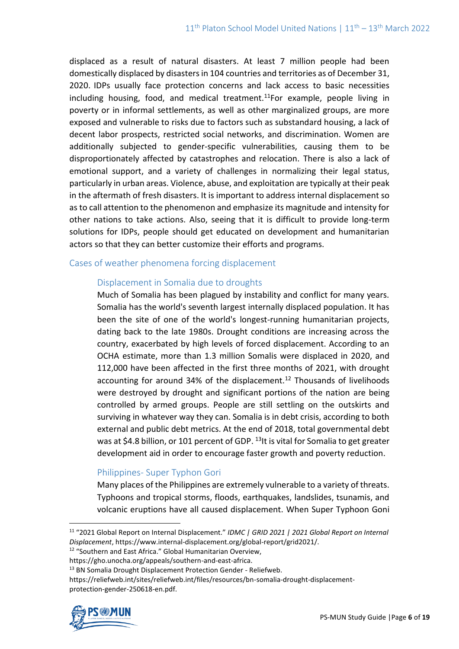displaced as a result of natural disasters. At least 7 million people had been domestically displaced by disasters in 104 countries and territories as of December 31, 2020. IDPs usually face protection concerns and lack access to basic necessities including housing, food, and medical treatment.<sup>11</sup>For example, people living in poverty or in informal settlements, as well as other marginalized groups, are more exposed and vulnerable to risks due to factors such as substandard housing, a lack of decent labor prospects, restricted social networks, and discrimination. Women are additionally subjected to gender-specific vulnerabilities, causing them to be disproportionately affected by catastrophes and relocation. There is also a lack of emotional support, and a variety of challenges in normalizing their legal status, particularly in urban areas. Violence, abuse, and exploitation are typically at their peak in the aftermath of fresh disasters. It is important to address internal displacement so as to call attention to the phenomenon and emphasize its magnitude and intensity for other nations to take actions. Also, seeing that it is difficult to provide long-term solutions for IDPs, people should get educated on development and humanitarian actors so that they can better customize their efforts and programs.

#### Cases of weather phenomena forcing displacement

### Displacement in Somalia due to droughts

Much of Somalia has been plagued by instability and conflict for many years. Somalia has the world's seventh largest internally displaced population. It has been the site of one of the world's longest-running humanitarian projects, dating back to the late 1980s. Drought conditions are increasing across the country, exacerbated by high levels of forced displacement. According to an OCHA estimate, more than 1.3 million Somalis were displaced in 2020, and 112,000 have been affected in the first three months of 2021, with drought accounting for around 34% of the displacement.<sup>12</sup> Thousands of livelihoods were destroyed by drought and significant portions of the nation are being controlled by armed groups. People are still settling on the outskirts and surviving in whatever way they can. Somalia is in debt crisis, according to both external and public debt metrics. At the end of 2018, total governmental debt was at \$4.8 billion, or 101 percent of GDP. <sup>13</sup>It is vital for Somalia to get greater development aid in order to encourage faster growth and poverty reduction.

### Philippines- Super Typhon Gori

Many places of the Philippines are extremely vulnerable to a variety of threats. Typhoons and tropical storms, floods, earthquakes, landslides, tsunamis, and volcanic eruptions have all caused displacement. When Super Typhoon Goni

<sup>12</sup> "Southern and East Africa." Global Humanitarian Overview,

https://reliefweb.int/sites/reliefweb.int/files/resources/bn-somalia-drought-displacementprotection-gender-250618-en.pdf.



<sup>&</sup>lt;sup>11</sup> "2021 Global Report on Internal Displacement." *IDMC | GRID 2021 | 2021 Global Report on Internal Displacement*, https://www.internal-displacement.org/global-report/grid2021/.

https://gho.unocha.org/appeals/southern-and-east-africa.

<sup>&</sup>lt;sup>13</sup> BN Somalia Drought Displacement Protection Gender - Reliefweb.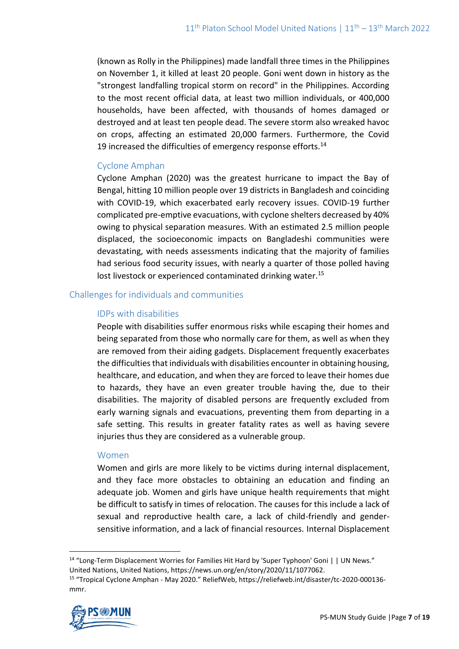(known as Rolly in the Philippines) made landfall three times in the Philippines on November 1, it killed at least 20 people. Goni went down in history as the "strongest landfalling tropical storm on record" in the Philippines. According to the most recent official data, at least two million individuals, or 400,000 households, have been affected, with thousands of homes damaged or destroyed and at least ten people dead. The severe storm also wreaked havoc on crops, affecting an estimated 20,000 farmers. Furthermore, the Covid 19 increased the difficulties of emergency response efforts. $14$ 

### Cyclone Amphan

Cyclone Amphan (2020) was the greatest hurricane to impact the Bay of Bengal, hitting 10 million people over 19 districts in Bangladesh and coinciding with COVID-19, which exacerbated early recovery issues. COVID-19 further complicated pre-emptive evacuations, with cyclone shelters decreased by 40% owing to physical separation measures. With an estimated 2.5 million people displaced, the socioeconomic impacts on Bangladeshi communities were devastating, with needs assessments indicating that the majority of families had serious food security issues, with nearly a quarter of those polled having lost livestock or experienced contaminated drinking water.<sup>15</sup>

### Challenges for individuals and communities

#### IDPs with disabilities

People with disabilities suffer enormous risks while escaping their homes and being separated from those who normally care for them, as well as when they are removed from their aiding gadgets. Displacement frequently exacerbates the difficulties that individuals with disabilities encounter in obtaining housing, healthcare, and education, and when they are forced to leave their homes due to hazards, they have an even greater trouble having the, due to their disabilities. The majority of disabled persons are frequently excluded from early warning signals and evacuations, preventing them from departing in a safe setting. This results in greater fatality rates as well as having severe injuries thus they are considered as a vulnerable group.

#### Women

Women and girls are more likely to be victims during internal displacement, and they face more obstacles to obtaining an education and finding an adequate job. Women and girls have unique health requirements that might be difficult to satisfy in times of relocation. The causes for this include a lack of sexual and reproductive health care, a lack of child-friendly and gendersensitive information, and a lack of financial resources. Internal Displacement

<sup>15</sup> "Tropical Cyclone Amphan - May 2020." ReliefWeb, https://reliefweb.int/disaster/tc-2020-000136 mmr.



<sup>14</sup> "Long-Term Displacement Worries for Families Hit Hard by 'Super Typhoon' Goni | | UN News." United Nations, United Nations, https://news.un.org/en/story/2020/11/1077062.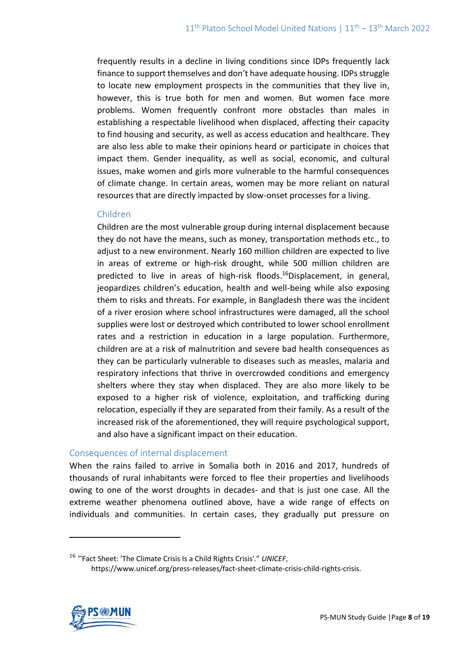frequently results in a decline in living conditions since IDPs frequently lack finance to support themselves and don't have adequate housing. IDPs struggle to locate new employment prospects in the communities that they live in, however, this is true both for men and women. But women face more problems. Women frequently confront more obstacles than males in establishing a respectable livelihood when displaced, affecting their capacity to find housing and security, as well as access education and healthcare. They are also less able to make their opinions heard or participate in choices that impact them. Gender inequality, as well as social, economic, and cultural issues, make women and girls more vulnerable to the harmful consequences of climate change. In certain areas, women may be more reliant on natural resources that are directly impacted by slow-onset processes for a living.

#### Children

Children are the most vulnerable group during internal displacement because they do not have the means, such as money, transportation methods etc., to adjust to a new environment. Nearly 160 million children are expected to live in areas of extreme or high-risk drought, while 500 million children are predicted to live in areas of high-risk floods.<sup>16</sup>Displacement, in general, jeopardizes children's education, health and well-being while also exposing them to risks and threats. For example, in Bangladesh there was the incident of a river erosion where school infrastructures were damaged, all the school supplies were lost or destroyed which contributed to lower school enrollment rates and a restriction in education in a large population. Furthermore, children are at a risk of malnutrition and severe bad health consequences as they can be particularly vulnerable to diseases such as measles, malaria and respiratory infections that thrive in overcrowded conditions and emergency shelters where they stay when displaced. They are also more likely to be exposed to a higher risk of violence, exploitation, and trafficking during relocation, especially if they are separated from their family. As a result of the increased risk of the aforementioned, they will require psychological support, and also have a significant impact on their education.

#### Consequences of internal displacement

When the rains failed to arrive in Somalia both in 2016 and 2017, hundreds of thousands of rural inhabitants were forced to flee their properties and livelihoods owing to one of the worst droughts in decades- and that is just one case. All the extreme weather phenomena outlined above, have a wide range of effects on individuals and communities. In certain cases, they gradually put pressure on

https://www.unicef.org/press-releases/fact-sheet-climate-crisis-child-rights-crisis.



<sup>16</sup> "Fact Sheet: 'The Climate Crisis Is a Child Rights Crisis'." *UNICEF*,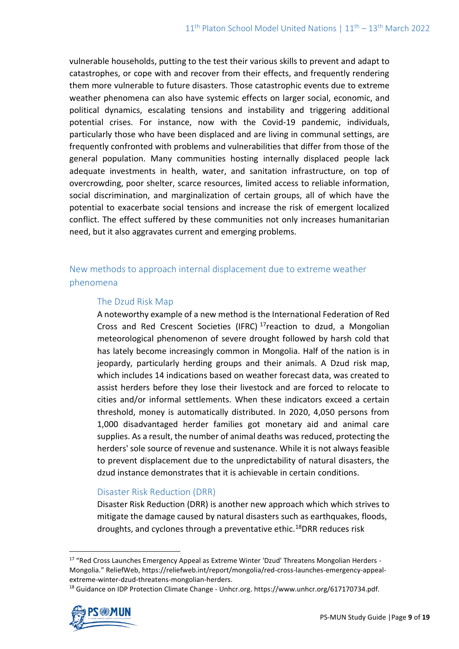vulnerable households, putting to the test their various skills to prevent and adapt to catastrophes, or cope with and recover from their effects, and frequently rendering them more vulnerable to future disasters. Those catastrophic events due to extreme weather phenomena can also have systemic effects on larger social, economic, and political dynamics, escalating tensions and instability and triggering additional potential crises. For instance, now with the Covid-19 pandemic, individuals, particularly those who have been displaced and are living in communal settings, are frequently confronted with problems and vulnerabilities that differ from those of the general population. Many communities hosting internally displaced people lack adequate investments in health, water, and sanitation infrastructure, on top of overcrowding, poor shelter, scarce resources, limited access to reliable information, social discrimination, and marginalization of certain groups, all of which have the potential to exacerbate social tensions and increase the risk of emergent localized conflict. The effect suffered by these communities not only increases humanitarian need, but it also aggravates current and emerging problems.

## New methods to approach internal displacement due to extreme weather phenomena

### The Dzud Risk Map

A noteworthy example of a new method is the International Federation of Red Cross and Red Crescent Societies (IFRC)  $^{17}$ reaction to dzud, a Mongolian meteorological phenomenon of severe drought followed by harsh cold that has lately become increasingly common in Mongolia. Half of the nation is in jeopardy, particularly herding groups and their animals. A Dzud risk map, which includes 14 indications based on weather forecast data, was created to assist herders before they lose their livestock and are forced to relocate to cities and/or informal settlements. When these indicators exceed a certain threshold, money is automatically distributed. In 2020, 4,050 persons from 1,000 disadvantaged herder families got monetary aid and animal care supplies. As a result, the number of animal deaths was reduced, protecting the herders' sole source of revenue and sustenance. While it is not always feasible to prevent displacement due to the unpredictability of natural disasters, the dzud instance demonstrates that it is achievable in certain conditions.

### Disaster Risk Reduction (DRR)

Disaster Risk Reduction (DRR) is another new approach which which strives to mitigate the damage caused by natural disasters such as earthquakes, floods, droughts, and cyclones through a preventative ethic.<sup>18</sup>DRR reduces risk

<sup>&</sup>lt;sup>18</sup> Guidance on IDP Protection Climate Change - Unhcr.org. https://www.unhcr.org/617170734.pdf.



<sup>&</sup>lt;sup>17</sup> "Red Cross Launches Emergency Appeal as Extreme Winter 'Dzud' Threatens Mongolian Herders -Mongolia." ReliefWeb, https://reliefweb.int/report/mongolia/red-cross-launches-emergency-appealextreme-winter-dzud-threatens-mongolian-herders.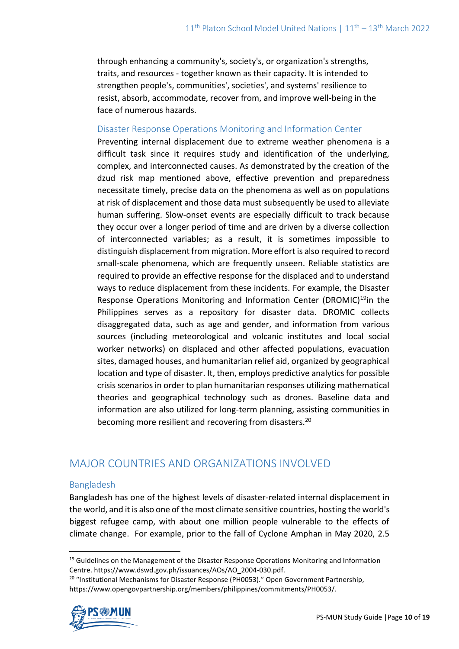through enhancing a community's, society's, or organization's strengths, traits, and resources - together known as their capacity. It is intended to strengthen people's, communities', societies', and systems' resilience to resist, absorb, accommodate, recover from, and improve well-being in the face of numerous hazards.

#### Disaster Response Operations Monitoring and Information Center

Preventing internal displacement due to extreme weather phenomena is a difficult task since it requires study and identification of the underlying, complex, and interconnected causes. As demonstrated by the creation of the dzud risk map mentioned above, effective prevention and preparedness necessitate timely, precise data on the phenomena as well as on populations at risk of displacement and those data must subsequently be used to alleviate human suffering. Slow-onset events are especially difficult to track because they occur over a longer period of time and are driven by a diverse collection of interconnected variables; as a result, it is sometimes impossible to distinguish displacement from migration. More effort is also required to record small-scale phenomena, which are frequently unseen. Reliable statistics are required to provide an effective response for the displaced and to understand ways to reduce displacement from these incidents. For example, the Disaster Response Operations Monitoring and Information Center (DROMIC)<sup>19</sup>in the Philippines serves as a repository for disaster data. DROMIC collects disaggregated data, such as age and gender, and information from various sources (including meteorological and volcanic institutes and local social worker networks) on displaced and other affected populations, evacuation sites, damaged houses, and humanitarian relief aid, organized by geographical location and type of disaster. It, then, employs predictive analytics for possible crisis scenarios in order to plan humanitarian responses utilizing mathematical theories and geographical technology such as drones. Baseline data and information are also utilized for long-term planning, assisting communities in becoming more resilient and recovering from disasters.<sup>20</sup>

## MAJOR COUNTRIES AND ORGANIZATIONS INVOLVED

#### Bangladesh

Bangladesh has one of the highest levels of disaster-related internal displacement in the world, and it is also one of the most climate sensitive countries, hosting the world's biggest refugee camp, with about one million people vulnerable to the effects of climate change. For example, prior to the fall of Cyclone Amphan in May 2020, 2.5

<sup>&</sup>lt;sup>20</sup> "Institutional Mechanisms for Disaster Response (PH0053)." Open Government Partnership, https://www.opengovpartnership.org/members/philippines/commitments/PH0053/.



 $19$  Guidelines on the Management of the Disaster Response Operations Monitoring and Information Centre. https://www.dswd.gov.ph/issuances/AOs/AO\_2004-030.pdf.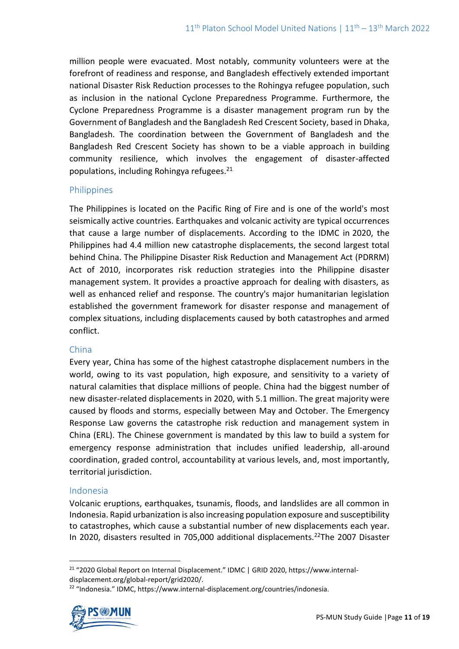million people were evacuated. Most notably, community volunteers were at the forefront of readiness and response, and Bangladesh effectively extended important national Disaster Risk Reduction processes to the Rohingya refugee population, such as inclusion in the national Cyclone Preparedness Programme. Furthermore, the Cyclone Preparedness Programme is a disaster management program run by the Government of Bangladesh and the Bangladesh Red Crescent Society, based in Dhaka, Bangladesh. The coordination between the Government of Bangladesh and the Bangladesh Red Crescent Society has shown to be a viable approach in building community resilience, which involves the engagement of disaster-affected populations, including Rohingya refugees. $21$ 

### Philippines

The Philippines is located on the Pacific Ring of Fire and is one of the world's most seismically active countries. Earthquakes and volcanic activity are typical occurrences that cause a large number of displacements. According to the IDMC in 2020, the Philippines had 4.4 million new catastrophe displacements, the second largest total behind China. The Philippine Disaster Risk Reduction and Management Act (PDRRM) Act of 2010, incorporates risk reduction strategies into the Philippine disaster management system. It provides a proactive approach for dealing with disasters, as well as enhanced relief and response. The country's major humanitarian legislation established the government framework for disaster response and management of complex situations, including displacements caused by both catastrophes and armed conflict.

### China

Every year, China has some of the highest catastrophe displacement numbers in the world, owing to its vast population, high exposure, and sensitivity to a variety of natural calamities that displace millions of people. China had the biggest number of new disaster-related displacements in 2020, with 5.1 million. The great majority were caused by floods and storms, especially between May and October. The Emergency Response Law governs the catastrophe risk reduction and management system in China (ERL). The Chinese government is mandated by this law to build a system for emergency response administration that includes unified leadership, all-around coordination, graded control, accountability at various levels, and, most importantly, territorial jurisdiction.

### Indonesia

Volcanic eruptions, earthquakes, tsunamis, floods, and landslides are all common in Indonesia. Rapid urbanization is also increasing population exposure and susceptibility to catastrophes, which cause a substantial number of new displacements each year. In 2020, disasters resulted in 705,000 additional displacements.<sup>22</sup>The 2007 Disaster

<sup>&</sup>lt;sup>22</sup> "Indonesia." IDMC, https://www.internal-displacement.org/countries/indonesia.



<sup>21</sup> "2020 Global Report on Internal Displacement." IDMC | GRID 2020, https://www.internaldisplacement.org/global-report/grid2020/.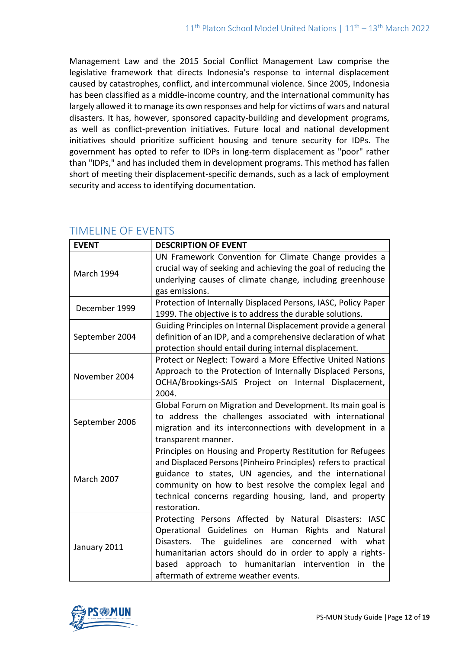Management Law and the 2015 Social Conflict Management Law comprise the legislative framework that directs Indonesia's response to internal displacement caused by catastrophes, conflict, and intercommunal violence. Since 2005, Indonesia has been classified as a middle-income country, and the international community has largely allowed it to manage its own responses and help for victims of wars and natural disasters. It has, however, sponsored capacity-building and development programs, as well as conflict-prevention initiatives. Future local and national development initiatives should prioritize sufficient housing and tenure security for IDPs. The government has opted to refer to IDPs in long-term displacement as "poor" rather than "IDPs," and has included them in development programs. This method has fallen short of meeting their displacement-specific demands, such as a lack of employment security and access to identifying documentation.

| <b>EVENT</b>      | <b>DESCRIPTION OF EVENT</b>                                     |
|-------------------|-----------------------------------------------------------------|
| <b>March 1994</b> | UN Framework Convention for Climate Change provides a           |
|                   | crucial way of seeking and achieving the goal of reducing the   |
|                   | underlying causes of climate change, including greenhouse       |
|                   | gas emissions.                                                  |
| December 1999     | Protection of Internally Displaced Persons, IASC, Policy Paper  |
|                   | 1999. The objective is to address the durable solutions.        |
| September 2004    | Guiding Principles on Internal Displacement provide a general   |
|                   | definition of an IDP, and a comprehensive declaration of what   |
|                   | protection should entail during internal displacement.          |
|                   | Protect or Neglect: Toward a More Effective United Nations      |
| November 2004     | Approach to the Protection of Internally Displaced Persons,     |
|                   | OCHA/Brookings-SAIS Project on Internal Displacement,           |
|                   | 2004.                                                           |
|                   | Global Forum on Migration and Development. Its main goal is     |
| September 2006    | to address the challenges associated with international         |
|                   | migration and its interconnections with development in a        |
|                   | transparent manner.                                             |
| <b>March 2007</b> | Principles on Housing and Property Restitution for Refugees     |
|                   | and Displaced Persons (Pinheiro Principles) refers to practical |
|                   | guidance to states, UN agencies, and the international          |
|                   | community on how to best resolve the complex legal and          |
|                   | technical concerns regarding housing, land, and property        |
|                   | restoration.                                                    |
| January 2011      | Protecting Persons Affected by Natural Disasters: IASC          |
|                   | Operational Guidelines on Human Rights and Natural              |
|                   | Disasters. The guidelines<br>are<br>concerned with<br>what      |
|                   | humanitarian actors should do in order to apply a rights-       |
|                   | based approach to humanitarian intervention in the              |
|                   | aftermath of extreme weather events.                            |

# TIMELINE OF EVENTS

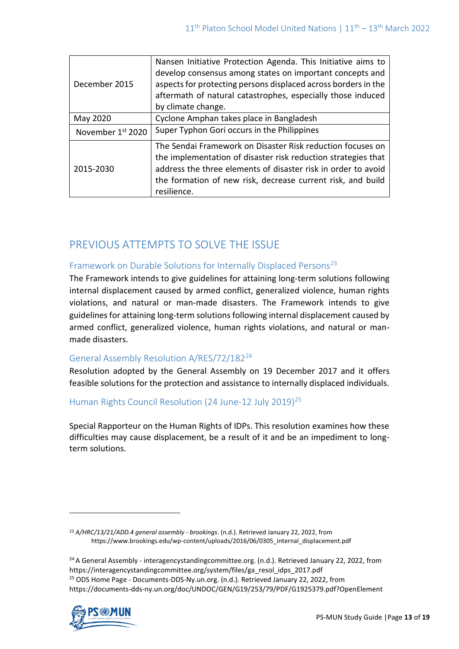| December 2015     | Nansen Initiative Protection Agenda. This Initiative aims to<br>develop consensus among states on important concepts and<br>aspects for protecting persons displaced across borders in the<br>aftermath of natural catastrophes, especially those induced<br>by climate change. |
|-------------------|---------------------------------------------------------------------------------------------------------------------------------------------------------------------------------------------------------------------------------------------------------------------------------|
| May 2020          | Cyclone Amphan takes place in Bangladesh                                                                                                                                                                                                                                        |
| November 1st 2020 | Super Typhon Gori occurs in the Philippines                                                                                                                                                                                                                                     |
| 2015-2030         | The Sendai Framework on Disaster Risk reduction focuses on<br>the implementation of disaster risk reduction strategies that<br>address the three elements of disaster risk in order to avoid<br>the formation of new risk, decrease current risk, and build<br>resilience.      |

# PREVIOUS ATTEMPTS TO SOLVE THE ISSUE

## Framework on Durable Solutions for Internally Displaced Persons<sup>23</sup>

The Framework intends to give guidelines for attaining long-term solutions following internal displacement caused by armed conflict, generalized violence, human rights violations, and natural or man-made disasters. The Framework intends to give guidelines for attaining long-term solutions following internal displacement caused by armed conflict, generalized violence, human rights violations, and natural or manmade disasters.

## General Assembly Resolution A/RES/72/182<sup>24</sup>

Resolution adopted by the General Assembly on 19 December 2017 and it offers feasible solutions for the protection and assistance to internally displaced individuals.

## Human Rights Council Resolution (24 June-12 July 2019)<sup>25</sup>

Special Rapporteur on the Human Rights of IDPs. This resolution examines how these difficulties may cause displacement, be a result of it and be an impediment to longterm solutions.

<sup>24</sup> A General Assembly - interagencystandingcommittee.org. (n.d.). Retrieved January 22, 2022, from https://interagencystandingcommittee.org/system/files/ga\_resol\_idps\_2017.pdf <sup>25</sup> ODS Home Page - Documents-DDS-Ny.un.org. (n.d.). Retrieved January 22, 2022, from https://documents-dds-ny.un.org/doc/UNDOC/GEN/G19/253/79/PDF/G1925379.pdf?OpenElement



<sup>23</sup> *A/HRC/13/21/ADD.4 general assembly - brookings*. (n.d.). Retrieved January 22, 2022, from https://www.brookings.edu/wp-content/uploads/2016/06/0305\_internal\_displacement.pdf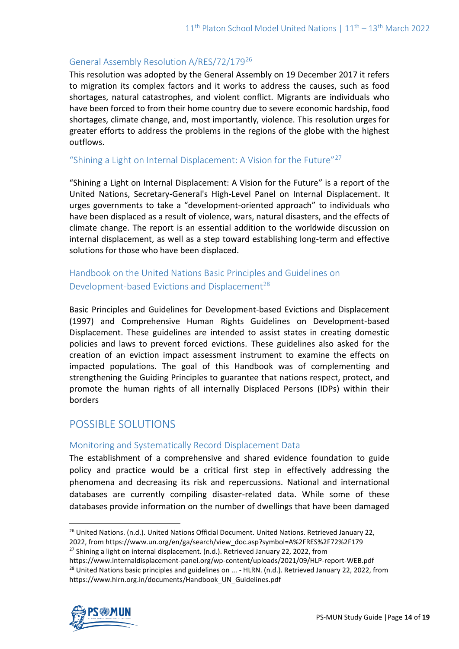## General Assembly Resolution A/RES/72/179<sup>26</sup>

This resolution was adopted by the General Assembly on 19 December 2017 it refers to migration its complex factors and it works to address the causes, such as food shortages, natural catastrophes, and violent conflict. Migrants are individuals who have been forced to from their home country due to severe economic hardship, food shortages, climate change, and, most importantly, violence. This resolution urges for greater efforts to address the problems in the regions of the globe with the highest outflows.

#### "Shining a Light on Internal Displacement: A Vision for the Future"<sup>27</sup>

"Shining a Light on Internal Displacement: A Vision for the Future" is a report of the United Nations, Secretary-General's High-Level Panel on Internal Displacement. It urges governments to take a "development-oriented approach" to individuals who have been displaced as a result of violence, wars, natural disasters, and the effects of climate change. The report is an essential addition to the worldwide discussion on internal displacement, as well as a step toward establishing long-term and effective solutions for those who have been displaced.

## Handbook on the United Nations Basic Principles and Guidelines on Development-based Evictions and Displacement<sup>28</sup>

Basic Principles and Guidelines for Development-based Evictions and Displacement (1997) and Comprehensive Human Rights Guidelines on Development-based Displacement. These guidelines are intended to assist states in creating domestic policies and laws to prevent forced evictions. These guidelines also asked for the creation of an eviction impact assessment instrument to examine the effects on impacted populations. The goal of this Handbook was of complementing and strengthening the Guiding Principles to guarantee that nations respect, protect, and promote the human rights of all internally Displaced Persons (IDPs) within their borders

## POSSIBLE SOLUTIONS

### Monitoring and Systematically Record Displacement Data

The establishment of a comprehensive and shared evidence foundation to guide policy and practice would be a critical first step in effectively addressing the phenomena and decreasing its risk and repercussions. National and international databases are currently compiling disaster-related data. While some of these databases provide information on the number of dwellings that have been damaged

https://www.internaldisplacement-panel.org/wp-content/uploads/2021/09/HLP-report-WEB.pdf <sup>28</sup> United Nations basic principles and guidelines on ... - HLRN. (n.d.). Retrieved January 22, 2022, from https://www.hlrn.org.in/documents/Handbook\_UN\_Guidelines.pdf



<sup>&</sup>lt;sup>26</sup> United Nations. (n.d.). United Nations Official Document. United Nations. Retrieved January 22, 2022, from https://www.un.org/en/ga/search/view\_doc.asp?symbol=A%2FRES%2F72%2F179

 $27$  Shining a light on internal displacement. (n.d.). Retrieved January 22, 2022, from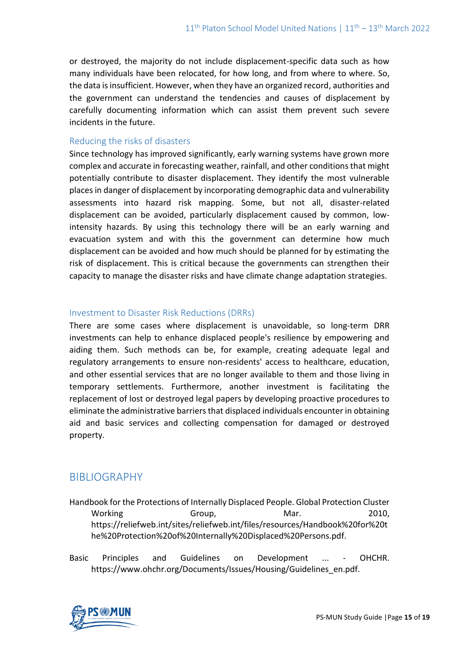or destroyed, the majority do not include displacement-specific data such as how many individuals have been relocated, for how long, and from where to where. So, the data is insufficient. However, when they have an organized record, authorities and the government can understand the tendencies and causes of displacement by carefully documenting information which can assist them prevent such severe incidents in the future.

### Reducing the risks of disasters

Since technology has improved significantly, early warning systems have grown more complex and accurate in forecasting weather, rainfall, and other conditions that might potentially contribute to disaster displacement. They identify the most vulnerable places in danger of displacement by incorporating demographic data and vulnerability assessments into hazard risk mapping. Some, but not all, disaster-related displacement can be avoided, particularly displacement caused by common, lowintensity hazards. By using this technology there will be an early warning and evacuation system and with this the government can determine how much displacement can be avoided and how much should be planned for by estimating the risk of displacement. This is critical because the governments can strengthen their capacity to manage the disaster risks and have climate change adaptation strategies.

## Investment to Disaster Risk Reductions (DRRs)

There are some cases where displacement is unavoidable, so long-term DRR investments can help to enhance displaced people's resilience by empowering and aiding them. Such methods can be, for example, creating adequate legal and regulatory arrangements to ensure non-residents' access to healthcare, education, and other essential services that are no longer available to them and those living in temporary settlements. Furthermore, another investment is facilitating the replacement of lost or destroyed legal papers by developing proactive procedures to eliminate the administrative barriers that displaced individuals encounter in obtaining aid and basic services and collecting compensation for damaged or destroyed property.

## BIBLIOGRAPHY

- Handbook for the Protections of Internally Displaced People. Global Protection Cluster Working Group, Group, Mar. 2010, https://reliefweb.int/sites/reliefweb.int/files/resources/Handbook%20for%20t he%20Protection%20of%20Internally%20Displaced%20Persons.pdf.
- Basic Principles and Guidelines on Development ... OHCHR. https://www.ohchr.org/Documents/Issues/Housing/Guidelines\_en.pdf.

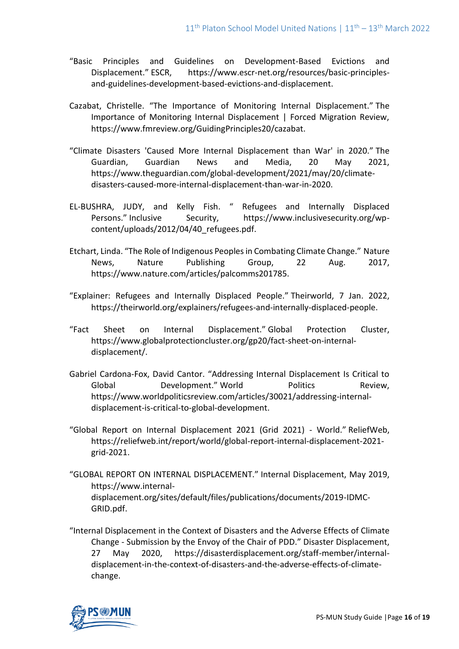- "Basic Principles and Guidelines on Development-Based Evictions and Displacement." ESCR, https://www.escr-net.org/resources/basic-principlesand-guidelines-development-based-evictions-and-displacement.
- Cazabat, Christelle. "The Importance of Monitoring Internal Displacement." The Importance of Monitoring Internal Displacement | Forced Migration Review, https://www.fmreview.org/GuidingPrinciples20/cazabat.
- "Climate Disasters 'Caused More Internal Displacement than War' in 2020." The Guardian, Guardian News and Media, 20 May 2021, https://www.theguardian.com/global-development/2021/may/20/climatedisasters-caused-more-internal-displacement-than-war-in-2020.
- EL-BUSHRA, JUDY, and Kelly Fish. " Refugees and Internally Displaced Persons." Inclusive Security, https://www.inclusivesecurity.org/wpcontent/uploads/2012/04/40\_refugees.pdf.
- Etchart, Linda. "The Role of Indigenous Peoples in Combating Climate Change." Nature News, Nature Publishing Group, 22 Aug. 2017, https://www.nature.com/articles/palcomms201785.
- "Explainer: Refugees and Internally Displaced People." Theirworld, 7 Jan. 2022, https://theirworld.org/explainers/refugees-and-internally-displaced-people.
- "Fact Sheet on Internal Displacement." Global Protection Cluster, https://www.globalprotectioncluster.org/gp20/fact-sheet-on-internaldisplacement/.
- Gabriel Cardona-Fox, David Cantor. "Addressing Internal Displacement Is Critical to Global **Development.**" World Politics Review, https://www.worldpoliticsreview.com/articles/30021/addressing-internaldisplacement-is-critical-to-global-development.
- "Global Report on Internal Displacement 2021 (Grid 2021) World." ReliefWeb, https://reliefweb.int/report/world/global-report-internal-displacement-2021 grid-2021.
- "GLOBAL REPORT ON INTERNAL DISPLACEMENT." Internal Displacement, May 2019, https://www.internaldisplacement.org/sites/default/files/publications/documents/2019-IDMC-GRID.pdf.
- "Internal Displacement in the Context of Disasters and the Adverse Effects of Climate Change - Submission by the Envoy of the Chair of PDD." Disaster Displacement, 27 May 2020, https://disasterdisplacement.org/staff-member/internaldisplacement-in-the-context-of-disasters-and-the-adverse-effects-of-climatechange.

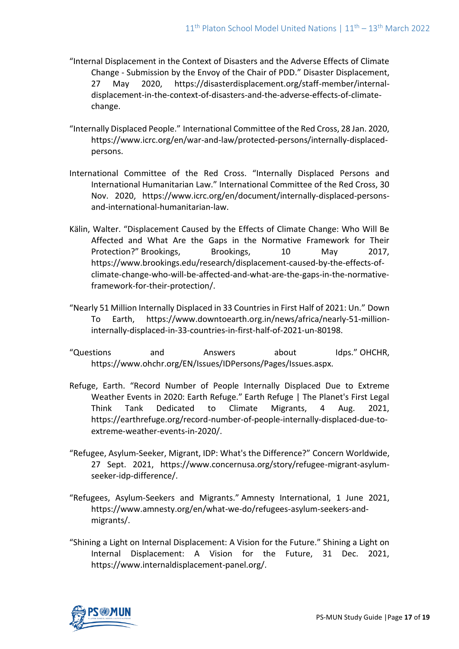- "Internal Displacement in the Context of Disasters and the Adverse Effects of Climate Change - Submission by the Envoy of the Chair of PDD." Disaster Displacement, 27 May 2020, https://disasterdisplacement.org/staff-member/internaldisplacement-in-the-context-of-disasters-and-the-adverse-effects-of-climatechange.
- "Internally Displaced People." International Committee of the Red Cross, 28 Jan. 2020, https://www.icrc.org/en/war-and-law/protected-persons/internally-displacedpersons.
- International Committee of the Red Cross. "Internally Displaced Persons and International Humanitarian Law." International Committee of the Red Cross, 30 Nov. 2020, https://www.icrc.org/en/document/internally-displaced-personsand-international-humanitarian-law.
- Kälin, Walter. "Displacement Caused by the Effects of Climate Change: Who Will Be Affected and What Are the Gaps in the Normative Framework for Their Protection?" Brookings, Brookings, 10 May 2017, https://www.brookings.edu/research/displacement-caused-by-the-effects-ofclimate-change-who-will-be-affected-and-what-are-the-gaps-in-the-normativeframework-for-their-protection/.
- "Nearly 51 Million Internally Displaced in 33 Countries in First Half of 2021: Un." Down To Earth, https://www.downtoearth.org.in/news/africa/nearly-51-millioninternally-displaced-in-33-countries-in-first-half-of-2021-un-80198.
- "Questions and Answers about Idps." OHCHR, https://www.ohchr.org/EN/Issues/IDPersons/Pages/Issues.aspx.
- Refuge, Earth. "Record Number of People Internally Displaced Due to Extreme Weather Events in 2020: Earth Refuge." Earth Refuge | The Planet's First Legal Think Tank Dedicated to Climate Migrants, 4 Aug. 2021, https://earthrefuge.org/record-number-of-people-internally-displaced-due-toextreme-weather-events-in-2020/.
- "Refugee, Asylum-Seeker, Migrant, IDP: What's the Difference?" Concern Worldwide, 27 Sept. 2021, https://www.concernusa.org/story/refugee-migrant-asylumseeker-idp-difference/.
- "Refugees, Asylum-Seekers and Migrants." Amnesty International, 1 June 2021, https://www.amnesty.org/en/what-we-do/refugees-asylum-seekers-andmigrants/.
- "Shining a Light on Internal Displacement: A Vision for the Future." Shining a Light on Internal Displacement: A Vision for the Future, 31 Dec. 2021, https://www.internaldisplacement-panel.org/.

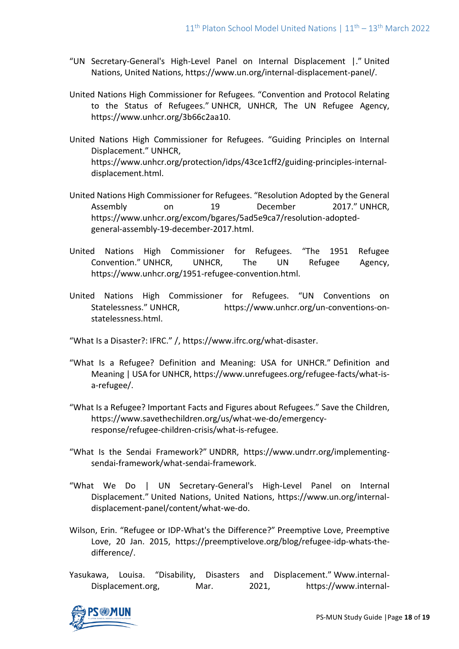- "UN Secretary-General's High-Level Panel on Internal Displacement |." United Nations, United Nations, https://www.un.org/internal-displacement-panel/.
- United Nations High Commissioner for Refugees. "Convention and Protocol Relating to the Status of Refugees." UNHCR, UNHCR, The UN Refugee Agency, https://www.unhcr.org/3b66c2aa10.
- United Nations High Commissioner for Refugees. "Guiding Principles on Internal Displacement." UNHCR, https://www.unhcr.org/protection/idps/43ce1cff2/guiding-principles-internaldisplacement.html.
- United Nations High Commissioner for Refugees. "Resolution Adopted by the General Assembly on 19 December 2017." UNHCR, https://www.unhcr.org/excom/bgares/5ad5e9ca7/resolution-adoptedgeneral-assembly-19-december-2017.html.
- United Nations High Commissioner for Refugees. "The 1951 Refugee Convention." UNHCR, UNHCR, The UN Refugee Agency, https://www.unhcr.org/1951-refugee-convention.html.
- United Nations High Commissioner for Refugees. "UN Conventions on Statelessness." UNHCR, https://www.unhcr.org/un-conventions-onstatelessness.html.
- "What Is a Disaster?: IFRC." /, https://www.ifrc.org/what-disaster.
- "What Is a Refugee? Definition and Meaning: USA for UNHCR." Definition and Meaning | USA for UNHCR, https://www.unrefugees.org/refugee-facts/what-isa-refugee/.
- "What Is a Refugee? Important Facts and Figures about Refugees." Save the Children, https://www.savethechildren.org/us/what-we-do/emergencyresponse/refugee-children-crisis/what-is-refugee.
- "What Is the Sendai Framework?" UNDRR, https://www.undrr.org/implementingsendai-framework/what-sendai-framework.
- "What We Do | UN Secretary-General's High-Level Panel on Internal Displacement." United Nations, United Nations, https://www.un.org/internaldisplacement-panel/content/what-we-do.
- Wilson, Erin. "Refugee or IDP-What's the Difference?" Preemptive Love, Preemptive Love, 20 Jan. 2015, https://preemptivelove.org/blog/refugee-idp-whats-thedifference/.
- Yasukawa, Louisa. "Disability, Disasters and Displacement." Www.internal-Displacement.org, Mar. 2021, https://www.internal-